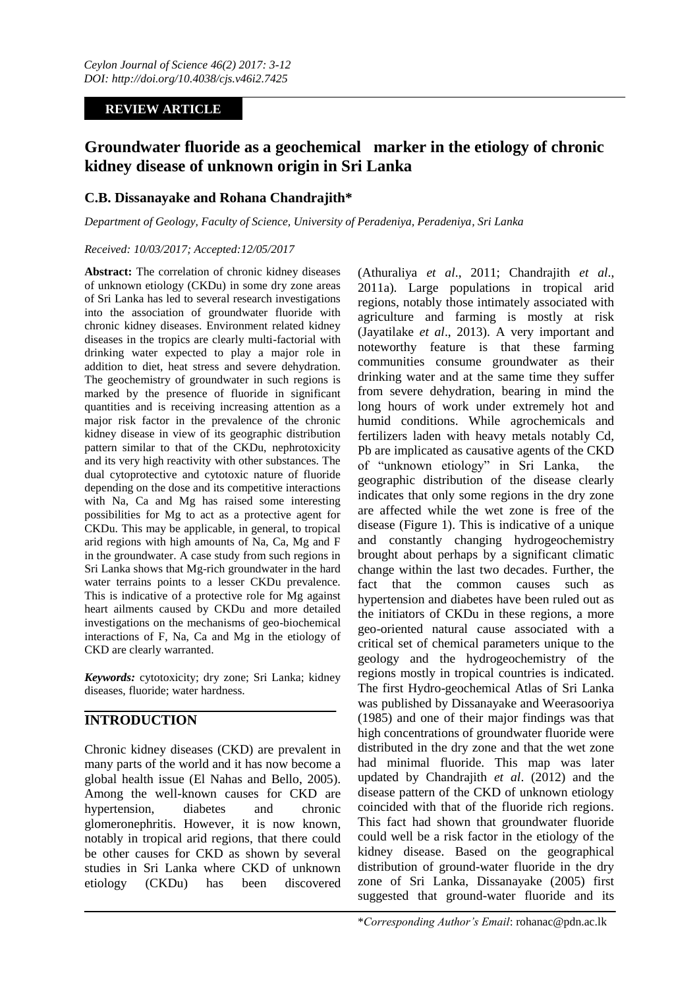## **REVIEW ARTICLE**

# **Groundwater fluoride as a geochemical marker in the etiology of chronic kidney disease of unknown origin in Sri Lanka**

## **C.B. Dissanayake and Rohana Chandrajith\***

*Department of Geology, Faculty of Science, University of Peradeniya, Peradeniya, Sri Lanka*

#### *Received: 10/03/2017; Accepted:12/05/2017*

**Abstract:** The correlation of chronic kidney diseases of unknown etiology (CKDu) in some dry zone areas of Sri Lanka has led to several research investigations into the association of groundwater fluoride with chronic kidney diseases. Environment related kidney diseases in the tropics are clearly multi-factorial with drinking water expected to play a major role in addition to diet, heat stress and severe dehydration. The geochemistry of groundwater in such regions is marked by the presence of fluoride in significant quantities and is receiving increasing attention as a major risk factor in the prevalence of the chronic kidney disease in view of its geographic distribution pattern similar to that of the CKDu, nephrotoxicity and its very high reactivity with other substances. The dual cytoprotective and cytotoxic nature of fluoride depending on the dose and its competitive interactions with Na, Ca and Mg has raised some interesting possibilities for Mg to act as a protective agent for CKDu. This may be applicable, in general, to tropical arid regions with high amounts of Na, Ca, Mg and F in the groundwater. A case study from such regions in Sri Lanka shows that Mg-rich groundwater in the hard water terrains points to a lesser CKDu prevalence. This is indicative of a protective role for Mg against heart ailments caused by CKDu and more detailed investigations on the mechanisms of geo-biochemical interactions of F, Na, Ca and Mg in the etiology of CKD are clearly warranted.

*Keywords:* cytotoxicity; dry zone; Sri Lanka; kidney diseases, fluoride; water hardness.

# **INTRODUCTION**

Chronic kidney diseases (CKD) are prevalent in many parts of the world and it has now become a global health issue (El Nahas and Bello, 2005). Among the well-known causes for CKD are hypertension, diabetes and chronic glomeronephritis. However, it is now known, notably in tropical arid regions, that there could be other causes for CKD as shown by several studies in Sri Lanka where CKD of unknown etiology (CKDu) has been discovered

(Athuraliya *et al*., 2011; Chandrajith *et al*., 2011a). Large populations in tropical arid regions, notably those intimately associated with agriculture and farming is mostly at risk (Jayatilake *et al*., 2013). A very important and noteworthy feature is that these farming communities consume groundwater as their drinking water and at the same time they suffer from severe dehydration, bearing in mind the long hours of work under extremely hot and humid conditions. While agrochemicals and fertilizers laden with heavy metals notably Cd, Pb are implicated as causative agents of the CKD of "unknown etiology" in Sri Lanka, the geographic distribution of the disease clearly indicates that only some regions in the dry zone are affected while the wet zone is free of the disease (Figure 1). This is indicative of a unique and constantly changing hydrogeochemistry brought about perhaps by a significant climatic change within the last two decades. Further, the fact that the common causes such as hypertension and diabetes have been ruled out as the initiators of CKDu in these regions, a more geo-oriented natural cause associated with a critical set of chemical parameters unique to the geology and the hydrogeochemistry of the regions mostly in tropical countries is indicated. The first Hydro-geochemical Atlas of Sri Lanka was published by Dissanayake and Weerasooriya (1985) and one of their major findings was that high concentrations of groundwater fluoride were distributed in the dry zone and that the wet zone had minimal fluoride. This map was later updated by Chandrajith *et al*. (2012) and the disease pattern of the CKD of unknown etiology coincided with that of the fluoride rich regions. This fact had shown that groundwater fluoride could well be a risk factor in the etiology of the kidney disease. Based on the geographical distribution of ground-water fluoride in the dry zone of Sri Lanka, Dissanayake (2005) first suggested that ground-water fluoride and its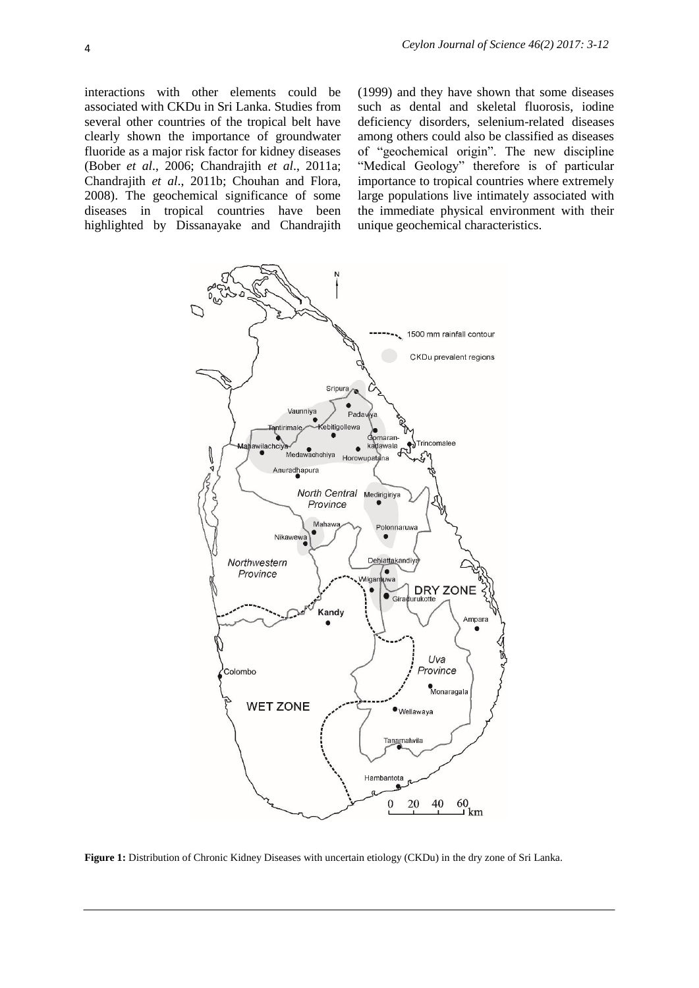interactions with other elements could be associated with CKDu in Sri Lanka. Studies from several other countries of the tropical belt have clearly shown the importance of groundwater fluoride as a major risk factor for kidney diseases (Bober *et al*., 2006; Chandrajith *et al*., 2011a; Chandrajith *et al*., 2011b; Chouhan and Flora, 2008). The geochemical significance of some diseases in tropical countries have been highlighted by Dissanayake and Chandrajith

(1999) and they have shown that some diseases such as dental and skeletal fluorosis, iodine deficiency disorders, selenium-related diseases among others could also be classified as diseases of "geochemical origin". The new discipline "Medical Geology" therefore is of particular importance to tropical countries where extremely large populations live intimately associated with the immediate physical environment with their unique geochemical characteristics.



**Figure 1:** Distribution of Chronic Kidney Diseases with uncertain etiology (CKDu) in the dry zone of Sri Lanka.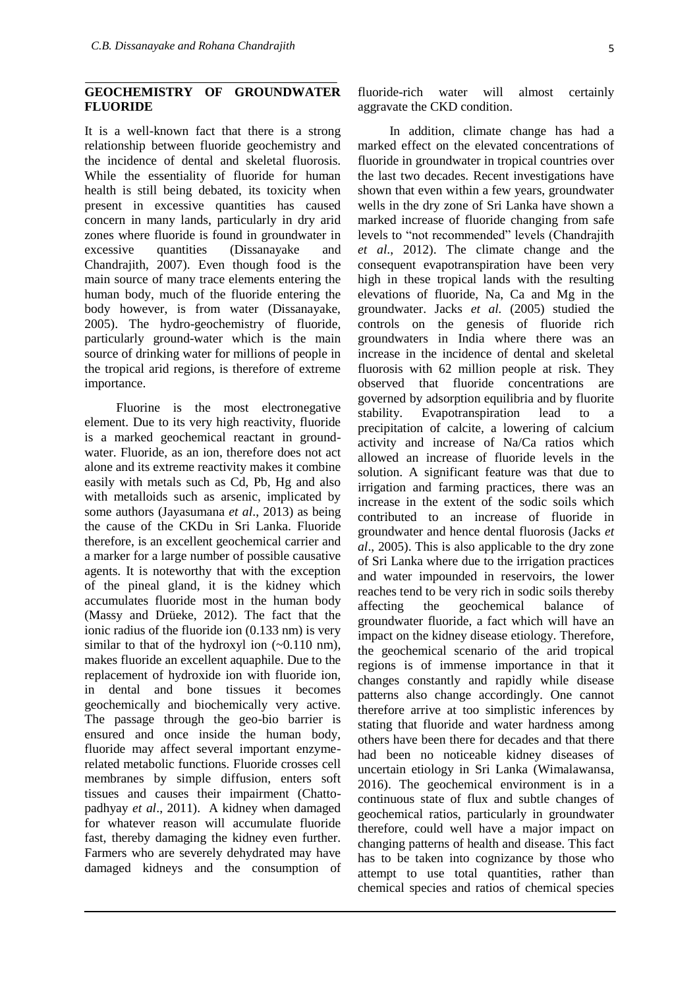#### **GEOCHEMISTRY OF GROUNDWATER FLUORIDE**

It is a well-known fact that there is a strong relationship between fluoride geochemistry and the incidence of dental and skeletal fluorosis. While the essentiality of fluoride for human health is still being debated, its toxicity when present in excessive quantities has caused concern in many lands, particularly in dry arid zones where fluoride is found in groundwater in excessive quantities (Dissanayake and Chandrajith, 2007). Even though food is the main source of many trace elements entering the human body, much of the fluoride entering the body however, is from water (Dissanayake, 2005). The hydro-geochemistry of fluoride, particularly ground-water which is the main source of drinking water for millions of people in the tropical arid regions, is therefore of extreme importance.

Fluorine is the most electronegative element. Due to its very high reactivity, fluoride is a marked geochemical reactant in groundwater. Fluoride, as an ion, therefore does not act alone and its extreme reactivity makes it combine easily with metals such as Cd, Pb, Hg and also with metalloids such as arsenic, implicated by some authors (Jayasumana *et al*., 2013) as being the cause of the CKDu in Sri Lanka. Fluoride therefore, is an excellent geochemical carrier and a marker for a large number of possible causative agents. It is noteworthy that with the exception of the pineal gland, it is the kidney which accumulates fluoride most in the human body (Massy and Drüeke, 2012). The fact that the ionic radius of the fluoride ion (0.133 nm) is very similar to that of the hydroxyl ion  $(-0.110 \text{ nm})$ , makes fluoride an excellent aquaphile. Due to the replacement of hydroxide ion with fluoride ion, in dental and bone tissues it becomes geochemically and biochemically very active. The passage through the geo-bio barrier is ensured and once inside the human body, fluoride may affect several important enzymerelated metabolic functions. Fluoride crosses cell membranes by simple diffusion, enters soft tissues and causes their impairment (Chattopadhyay *et al*., 2011). A kidney when damaged for whatever reason will accumulate fluoride fast, thereby damaging the kidney even further. Farmers who are severely dehydrated may have damaged kidneys and the consumption of

In addition, climate change has had a marked effect on the elevated concentrations of fluoride in groundwater in tropical countries over the last two decades. Recent investigations have shown that even within a few years, groundwater wells in the dry zone of Sri Lanka have shown a marked increase of fluoride changing from safe levels to "not recommended" levels (Chandrajith *et al*., 2012). The climate change and the consequent evapotranspiration have been very high in these tropical lands with the resulting elevations of fluoride, Na, Ca and Mg in the groundwater. Jacks *et al.* (2005) studied the controls on the genesis of fluoride rich groundwaters in India where there was an increase in the incidence of dental and skeletal fluorosis with 62 million people at risk. They observed that fluoride concentrations are governed by adsorption equilibria and by fluorite stability. Evapotranspiration lead to a precipitation of calcite, a lowering of calcium activity and increase of Na/Ca ratios which allowed an increase of fluoride levels in the solution. A significant feature was that due to irrigation and farming practices, there was an increase in the extent of the sodic soils which contributed to an increase of fluoride in groundwater and hence dental fluorosis (Jacks *et al*., 2005). This is also applicable to the dry zone of Sri Lanka where due to the irrigation practices and water impounded in reservoirs, the lower reaches tend to be very rich in sodic soils thereby affecting the geochemical balance of groundwater fluoride, a fact which will have an impact on the kidney disease etiology. Therefore, the geochemical scenario of the arid tropical regions is of immense importance in that it changes constantly and rapidly while disease patterns also change accordingly. One cannot therefore arrive at too simplistic inferences by stating that fluoride and water hardness among others have been there for decades and that there had been no noticeable kidney diseases of uncertain etiology in Sri Lanka (Wimalawansa, 2016). The geochemical environment is in a continuous state of flux and subtle changes of geochemical ratios, particularly in groundwater therefore, could well have a major impact on changing patterns of health and disease. This fact has to be taken into cognizance by those who attempt to use total quantities, rather than chemical species and ratios of chemical species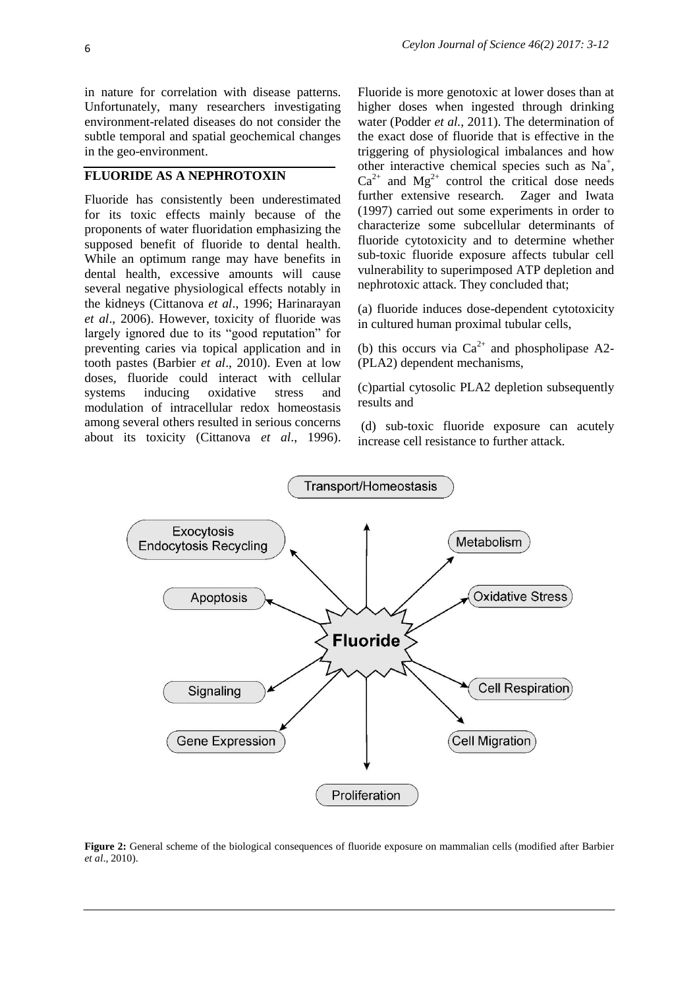in nature for correlation with disease patterns. Unfortunately, many researchers investigating environment-related diseases do not consider the subtle temporal and spatial geochemical changes in the geo-environment.

### **FLUORIDE AS A NEPHROTOXIN**

Fluoride has consistently been underestimated for its toxic effects mainly because of the proponents of water fluoridation emphasizing the supposed benefit of fluoride to dental health. While an optimum range may have benefits in dental health, excessive amounts will cause several negative physiological effects notably in the kidneys (Cittanova *et al*., 1996; Harinarayan *et al*., 2006). However, toxicity of fluoride was largely ignored due to its "good reputation" for preventing caries via topical application and in tooth pastes (Barbier *et al*., 2010). Even at low doses, fluoride could interact with cellular systems inducing oxidative stress and modulation of intracellular redox homeostasis among several others resulted in serious concerns about its toxicity [\(Cittanova](#page-8-0) *et al*., 1996). Fluoride is more genotoxic at lower doses than at higher doses when ingested through drinking water (Podder *et al.,* 2011). The determination of the exact dose of fluoride that is effective in the triggering of physiological imbalances and how other interactive chemical species such as Na<sup>+</sup>,  $Ca^{2+}$  and  $Mg^{2+}$  control the critical dose needs further extensive research. Zager and Iwata (1997) carried out some experiments in order to characterize some subcellular determinants of fluoride cytotoxicity and to determine whether sub-toxic fluoride exposure affects tubular cell vulnerability to superimposed ATP depletion and nephrotoxic attack. They concluded that;

(a) fluoride induces dose-dependent cytotoxicity in cultured human proximal tubular cells,

(b) this occurs via  $Ca^{2+}$  and phospholipase A2-(PLA2) dependent mechanisms,

(c)partial cytosolic PLA2 depletion subsequently results and

(d) sub-toxic fluoride exposure can acutely increase cell resistance to further attack.



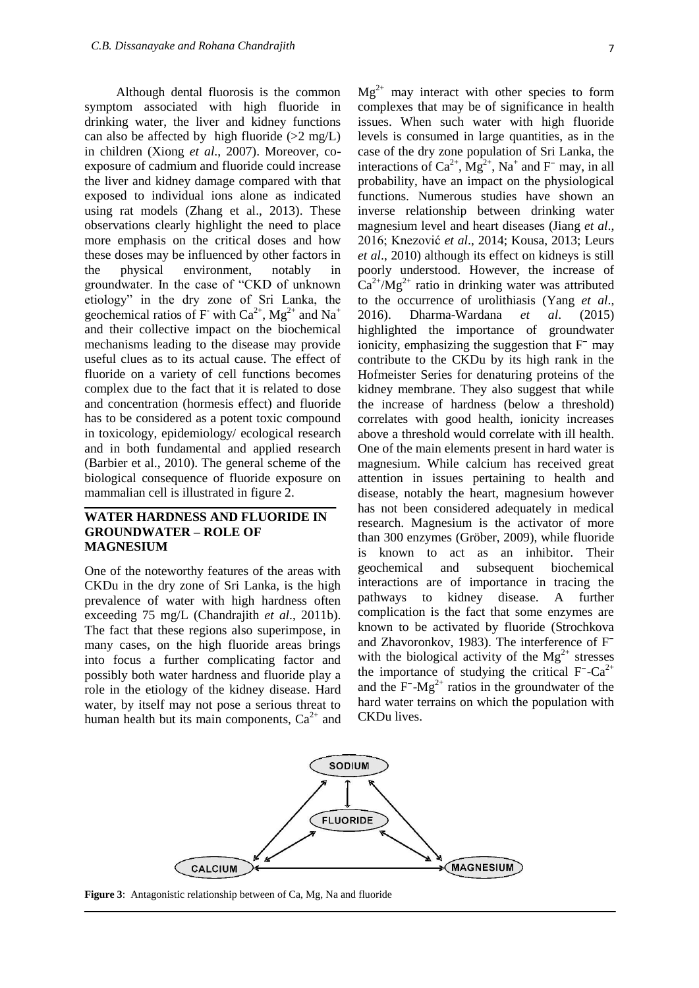Although dental fluorosis is the common symptom associated with high fluoride in drinking water, the liver and kidney functions can also be affected by high fluoride  $(>2 \text{ mg/L})$ in children (Xiong *et al*., 2007). Moreover, coexposure of cadmium and fluoride could increase the liver and kidney damage compared with that exposed to individual ions alone as indicated using rat models (Zhang et al., 2013). These observations clearly highlight the need to place more emphasis on the critical doses and how these doses may be influenced by other factors in the physical environment, notably in groundwater. In the case of "CKD of unknown etiology" in the dry zone of Sri Lanka, the geochemical ratios of F- with  $Ca^{2+}$ , Mg<sup>2+</sup> and Na<sup>+</sup> and their collective impact on the biochemical mechanisms leading to the disease may provide useful clues as to its actual cause. The effect of fluoride on a variety of cell functions becomes complex due to the fact that it is related to dose and concentration (hormesis effect) and fluoride has to be considered as a potent toxic compound in toxicology, epidemiology/ ecological research and in both fundamental and applied research (Barbier et al., 2010). The general scheme of the biological consequence of fluoride exposure on mammalian cell is illustrated in figure 2.

#### **WATER HARDNESS AND FLUORIDE IN GROUNDWATER – ROLE OF MAGNESIUM**

One of the noteworthy features of the areas with CKDu in the dry zone of Sri Lanka, is the high prevalence of water with high hardness often exceeding 75 mg/L (Chandrajith *et al*., 2011b). The fact that these regions also superimpose, in many cases, on the high fluoride areas brings into focus a further complicating factor and possibly both water hardness and fluoride play a role in the etiology of the kidney disease. Hard water, by itself may not pose a serious threat to human health but its main components,  $Ca^{2+}$  and  $Mg^{2+}$  may interact with other species to form complexes that may be of significance in health issues. When such water with high fluoride levels is consumed in large quantities, as in the case of the dry zone population of Sri Lanka, the interactions of  $Ca^{2+}$ ,  $\overline{Mg}^{2+}$ , Na<sup>+</sup> and F<sup>-</sup> may, in all probability, have an impact on the physiological functions. Numerous studies have shown an inverse relationship between drinking water magnesium level and heart diseases (Jiang *et al*., 2016; Knezović *et al*., 2014; Kousa, 2013; Leurs *et al*., 2010) although its effect on kidneys is still poorly understood. However, the increase of  $Ca^{2+}/Mg^{2+}$  ratio in drinking water was attributed to the occurrence of urolithiasis (Yang *et al*., 2016). Dharma-Wardana *et al*. (2015) highlighted the importance of groundwater ionicity, emphasizing the suggestion that  $F<sup>-</sup>$  may contribute to the CKDu by its high rank in the Hofmeister Series for denaturing proteins of the kidney membrane. They also suggest that while the increase of hardness (below a threshold) correlates with good health, ionicity increases above a threshold would correlate with ill health. One of the main elements present in hard water is magnesium. While calcium has received great attention in issues pertaining to health and disease, notably the heart, magnesium however has not been considered adequately in medical research. Magnesium is the activator of more than 300 enzymes (Gröber, 2009), while fluoride is known to act as an inhibitor. Their geochemical and subsequent biochemical interactions are of importance in tracing the pathways to kidney disease. A further complication is the fact that some enzymes are known to be activated by fluoride (Strochkova and Zhavoronkov, 1983). The interference of  $F$ with the biological activity of the  $Mg^{2+}$  stresses the importance of studying the critical  $F-Ca^{2+}$ and the  $F-Mg^{2+}$  ratios in the groundwater of the hard water terrains on which the population with CKDu lives.



**Figure 3**: Antagonistic relationship between of Ca, Mg, Na and fluoride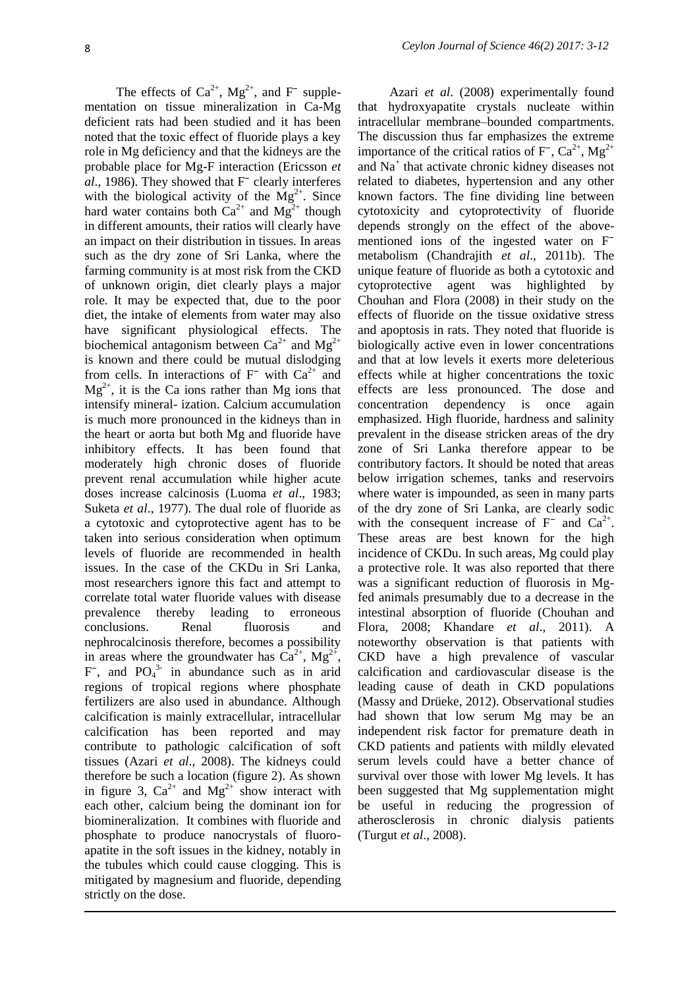The effects of  $Ca^{2+}$ ,  $Mg^{2+}$ , and F<sup>-</sup> supplementation on tissue mineralization in Ca-Mg deficient rats had been studied and it has been noted that the toxic effect of fluoride plays a key role in Mg deficiency and that the kidneys are the probable place for Mg-F interaction (Ericsson *et al.*, 1986). They showed that F<sup> $-$ </sup> clearly interferes with the biological activity of the  $Mg^{2+}$ . Since hard water contains both  $Ca^{2+}$  and  $Mg^{2+}$  though in different amounts, their ratios will clearly have an impact on their distribution in tissues. In areas such as the dry zone of Sri Lanka, where the farming community is at most risk from the CKD of unknown origin, diet clearly plays a major role. It may be expected that, due to the poor diet, the intake of elements from water may also have significant physiological effects. The biochemical antagonism between  $Ca^{2+}$  and  $Mg^{2+}$ is known and there could be mutual dislodging from cells. In interactions of  $F<sup>-</sup>$  with  $Ca<sup>2+</sup>$  and  $Mg^{2+}$ , it is the Ca ions rather than Mg ions that intensify mineral- ization. Calcium accumulation is much more pronounced in the kidneys than in the heart or aorta but both Mg and fluoride have inhibitory effects. It has been found that moderately high chronic doses of fluoride prevent renal accumulation while higher acute doses increase calcinosis (Luoma *et al*., 1983; Suketa *et al*., 1977). The dual role of fluoride as a cytotoxic and cytoprotective agent has to be taken into serious consideration when optimum levels of fluoride are recommended in health issues. In the case of the CKDu in Sri Lanka, most researchers ignore this fact and attempt to correlate total water fluoride values with disease prevalence thereby leading to erroneous conclusions. Renal fluorosis and nephrocalcinosis therefore, becomes a possibility in areas where the groundwater has  $\text{Ca}^{2+}$ ,  $\text{Mg}^{2+}$ ,  $F^-$ , and  $PO_4^3$  in abundance such as in arid regions of tropical regions where phosphate fertilizers are also used in abundance. Although calcification is mainly extracellular, intracellular calcification has been reported and may contribute to pathologic calcification of soft tissues (Azari *et al*., 2008). The kidneys could therefore be such a location (figure 2). As shown in figure 3,  $Ca^{2+}$  and  $Mg^{2+}$  show interact with each other, calcium being the dominant ion for biomineralization. It combines with fluoride and phosphate to produce nanocrystals of fluoroapatite in the soft issues in the kidney, notably in the tubules which could cause clogging. This is mitigated by magnesium and fluoride, depending strictly on the dose.

Azari *et al*. (2008) experimentally found that hydroxyapatite crystals nucleate within intracellular membrane–bounded compartments. The discussion thus far emphasizes the extreme importance of the critical ratios of  $F^{\text{-}}$ ,  $Ca^{2+}$ ,  $Mg^{2+}$ and Na<sup>+</sup> that activate chronic kidney diseases not related to diabetes, hypertension and any other known factors. The fine dividing line between cytotoxicity and cytoprotectivity of fluoride depends strongly on the effect of the abovementioned ions of the ingested water on F<sup>-</sup> metabolism (Chandrajith *et al*., 2011b). The unique feature of fluoride as both a cytotoxic and cytoprotective agent was highlighted by Chouhan and Flora (2008) in their study on the effects of fluoride on the tissue oxidative stress and apoptosis in rats. They noted that fluoride is biologically active even in lower concentrations and that at low levels it exerts more deleterious effects while at higher concentrations the toxic effects are less pronounced. The dose and concentration dependency is once again emphasized. High fluoride, hardness and salinity prevalent in the disease stricken areas of the dry zone of Sri Lanka therefore appear to be contributory factors. It should be noted that areas below irrigation schemes, tanks and reservoirs where water is impounded, as seen in many parts of the dry zone of Sri Lanka, are clearly sodic with the consequent increase of  $F^-$  and  $Ca^{2+}$ . These areas are best known for the high incidence of CKDu. In such areas, Mg could play a protective role. It was also reported that there was a significant reduction of fluorosis in Mgfed animals presumably due to a decrease in the intestinal absorption of fluoride (Chouhan and Flora, 2008; Khandare *et al*., 2011). A noteworthy observation is that patients with CKD have a high prevalence of vascular calcification and cardiovascular disease is the leading cause of death in CKD populations (Massy and Drüeke, 2012). Observational studies had shown that low serum Mg may be an independent risk factor for premature death in CKD patients and patients with mildly elevated serum levels could have a better chance of survival over those with lower Mg levels. It has been suggested that Mg supplementation might be useful in reducing the progression of atherosclerosis in chronic dialysis patients (Turgut *et al*., 2008).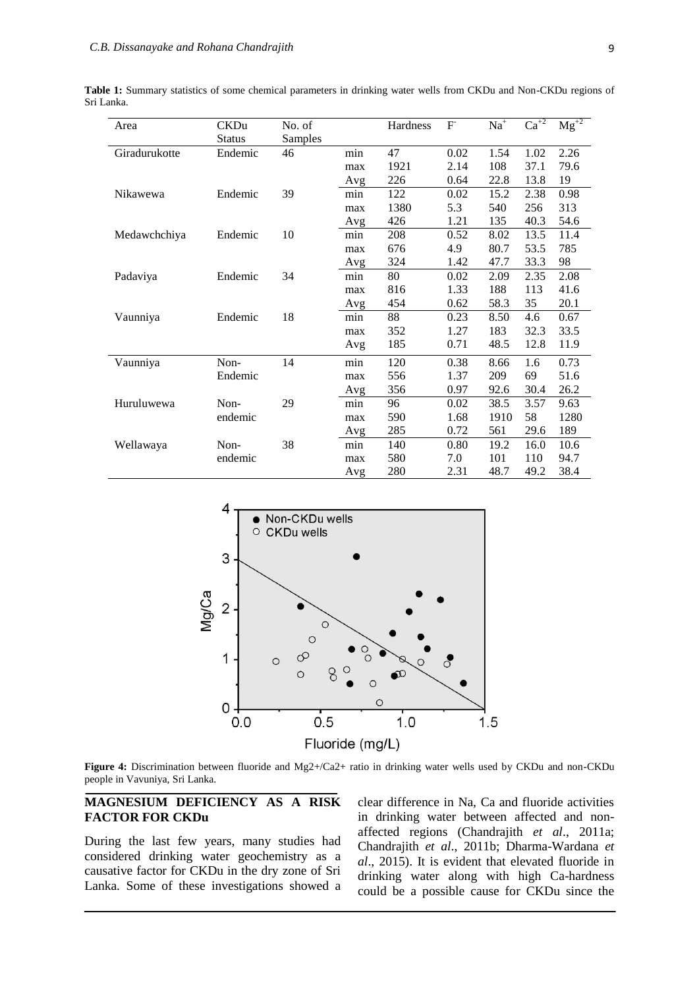| Area          | <b>CKDu</b>   | No. of  |     | Hardness | $\mathbf{F}$ | $Na+$ | $\overline{\text{Ca}^{+2}}$ | $\overline{Mg}^{2}$ |
|---------------|---------------|---------|-----|----------|--------------|-------|-----------------------------|---------------------|
|               | <b>Status</b> | Samples |     |          |              |       |                             |                     |
| Giradurukotte | Endemic       | 46      | min | 47       | 0.02         | 1.54  | 1.02                        | 2.26                |
|               |               |         | max | 1921     | 2.14         | 108   | 37.1                        | 79.6                |
|               |               |         | Avg | 226      | 0.64         | 22.8  | 13.8                        | 19                  |
| Nikawewa      | Endemic       | 39      | min | 122      | 0.02         | 15.2  | 2.38                        | 0.98                |
|               |               |         | max | 1380     | 5.3          | 540   | 256                         | 313                 |
|               |               |         | Avg | 426      | 1.21         | 135   | 40.3                        | 54.6                |
| Medawchchiya  | Endemic       | 10      | min | 208      | 0.52         | 8.02  | 13.5                        | 11.4                |
|               |               |         | max | 676      | 4.9          | 80.7  | 53.5                        | 785                 |
|               |               |         | Avg | 324      | 1.42         | 47.7  | 33.3                        | 98                  |
| Padaviya      | Endemic       | 34      | min | 80       | 0.02         | 2.09  | 2.35                        | 2.08                |
|               |               |         | max | 816      | 1.33         | 188   | 113                         | 41.6                |
|               |               |         | Avg | 454      | 0.62         | 58.3  | 35                          | 20.1                |
| Vaunniya      | Endemic       | 18      | min | 88       | 0.23         | 8.50  | 4.6                         | 0.67                |
|               |               |         | max | 352      | 1.27         | 183   | 32.3                        | 33.5                |
|               |               |         | Avg | 185      | 0.71         | 48.5  | 12.8                        | 11.9                |
| Vaunniya      | Non-          | 14      | min | 120      | 0.38         | 8.66  | 1.6                         | 0.73                |
|               | Endemic       |         | max | 556      | 1.37         | 209   | 69                          | 51.6                |
|               |               |         | Avg | 356      | 0.97         | 92.6  | 30.4                        | 26.2                |
| Huruluwewa    | Non-          | 29      | min | 96       | 0.02         | 38.5  | 3.57                        | 9.63                |
|               | endemic       |         | max | 590      | 1.68         | 1910  | 58                          | 1280                |
|               |               |         | Avg | 285      | 0.72         | 561   | 29.6                        | 189                 |
| Wellawaya     | Non-          | 38      | min | 140      | 0.80         | 19.2  | 16.0                        | 10.6                |
|               | endemic       |         | max | 580      | 7.0          | 101   | 110                         | 94.7                |
|               |               |         | Avg | 280      | 2.31         | 48.7  | 49.2                        | 38.4                |

**Table 1:** Summary statistics of some chemical parameters in drinking water wells from CKDu and Non-CKDu regions of Sri Lanka.



**Figure 4:** Discrimination between fluoride and Mg2+/Ca2+ ratio in drinking water wells used by CKDu and non-CKDu people in Vavuniya, Sri Lanka.

#### **MAGNESIUM DEFICIENCY AS A RISK FACTOR FOR CKDu**

During the last few years, many studies had considered drinking water geochemistry as a causative factor for CKDu in the dry zone of Sri Lanka. Some of these investigations showed a clear difference in Na, Ca and fluoride activities in drinking water between affected and nonaffected regions (Chandrajith *et al*., 2011a; Chandrajith *et al*., 2011b; Dharma-Wardana *et al*., 2015). It is evident that elevated fluoride in drinking water along with high Ca-hardness could be a possible cause for CKDu since the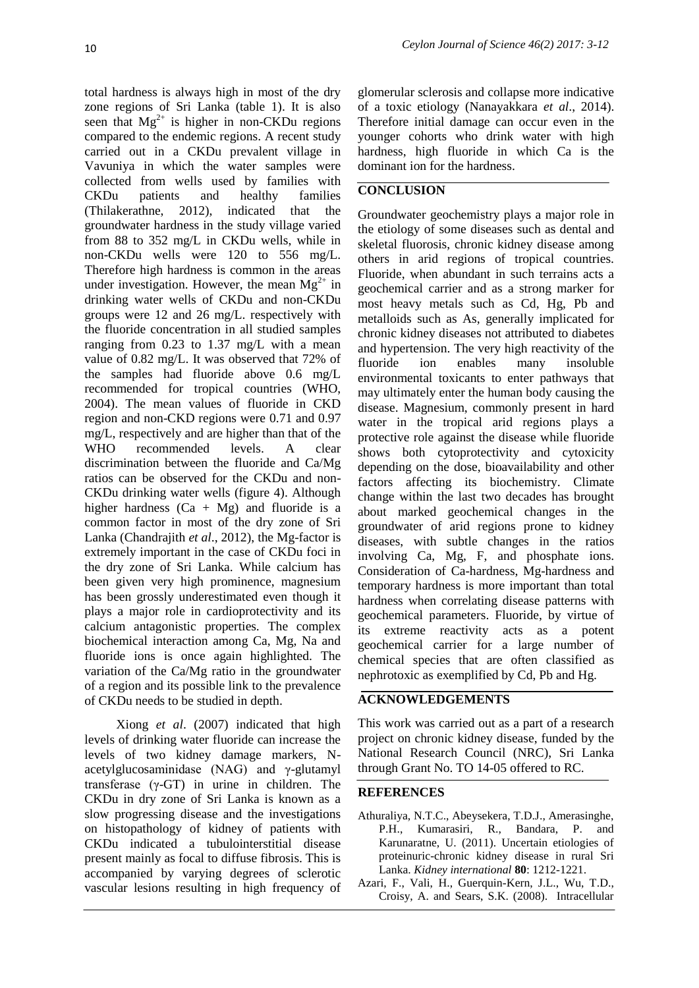total hardness is always high in most of the dry zone regions of Sri Lanka (table 1). It is also seen that  $Mg^{2+}$  is higher in non-CKDu regions compared to the endemic regions. A recent study carried out in a CKDu prevalent village in Vavuniya in which the water samples were collected from wells used by families with CKDu patients and healthy families (Thilakerathne, 2012), indicated that the groundwater hardness in the study village varied from 88 to 352 mg/L in CKDu wells, while in non-CKDu wells were 120 to 556 mg/L. Therefore high hardness is common in the areas under investigation. However, the mean  $Mg^{2+}$  in drinking water wells of CKDu and non-CKDu groups were 12 and 26 mg/L. respectively with the fluoride concentration in all studied samples ranging from 0.23 to 1.37 mg/L with a mean value of 0.82 mg/L. It was observed that 72% of the samples had fluoride above 0.6 mg/L recommended for tropical countries (WHO, 2004). The mean values of fluoride in CKD region and non-CKD regions were 0.71 and 0.97 mg/L, respectively and are higher than that of the WHO recommended levels. A clear discrimination between the fluoride and Ca/Mg ratios can be observed for the CKDu and non-CKDu drinking water wells (figure 4). Although higher hardness  $(Ca + Mg)$  and fluoride is a common factor in most of the dry zone of Sri Lanka (Chandrajith *et al*., 2012), the Mg-factor is extremely important in the case of CKDu foci in the dry zone of Sri Lanka. While calcium has been given very high prominence, magnesium has been grossly underestimated even though it plays a major role in cardioprotectivity and its calcium antagonistic properties. The complex biochemical interaction among Ca, Mg, Na and fluoride ions is once again highlighted. The variation of the Ca/Mg ratio in the groundwater of a region and its possible link to the prevalence of CKDu needs to be studied in depth.

Xiong *et al*. (2007) indicated that high levels of drinking water fluoride can increase the levels of two kidney damage markers, Nacetylglucosaminidase (NAG) and γ-glutamyl transferase (γ-GT) in urine in children. The CKDu in dry zone of Sri Lanka is known as a slow progressing disease and the investigations on histopathology of kidney of patients with CKDu indicated a tubulointerstitial disease present mainly as focal to diffuse fibrosis. This is accompanied by varying degrees of sclerotic vascular lesions resulting in high frequency of

glomerular sclerosis and collapse more indicative of a toxic etiology (Nanayakkara *et al*., 2014). Therefore initial damage can occur even in the younger cohorts who drink water with high hardness, high fluoride in which Ca is the dominant ion for the hardness.

#### **CONCLUSION**

Groundwater geochemistry plays a major role in the etiology of some diseases such as dental and skeletal fluorosis, chronic kidney disease among others in arid regions of tropical countries. Fluoride, when abundant in such terrains acts a geochemical carrier and as a strong marker for most heavy metals such as Cd, Hg, Pb and metalloids such as As, generally implicated for chronic kidney diseases not attributed to diabetes and hypertension. The very high reactivity of the fluoride ion enables many insoluble environmental toxicants to enter pathways that may ultimately enter the human body causing the disease. Magnesium, commonly present in hard water in the tropical arid regions plays a protective role against the disease while fluoride shows both cytoprotectivity and cytoxicity depending on the dose, bioavailability and other factors affecting its biochemistry. Climate change within the last two decades has brought about marked geochemical changes in the groundwater of arid regions prone to kidney diseases, with subtle changes in the ratios involving Ca, Mg, F, and phosphate ions. Consideration of Ca-hardness, Mg-hardness and temporary hardness is more important than total hardness when correlating disease patterns with geochemical parameters. Fluoride, by virtue of its extreme reactivity acts as a potent geochemical carrier for a large number of chemical species that are often classified as nephrotoxic as exemplified by Cd, Pb and Hg.

## **ACKNOWLEDGEMENTS**

This work was carried out as a part of a research project on chronic kidney disease, funded by the National Research Council (NRC), Sri Lanka through Grant No. TO 14-05 offered to RC.

#### **REFERENCES**

- Athuraliya, N.T.C., Abeysekera, T.D.J., Amerasinghe, P.H., Kumarasiri, R., Bandara, P. and Karunaratne, U. (2011). Uncertain etiologies of proteinuric-chronic kidney disease in rural Sri Lanka. *Kidney international* **80**: 1212-1221.
- Azari, F., Vali, H., Guerquin-Kern, J.L., Wu, T.D., Croisy, A. and Sears, S.K. (2008). Intracellular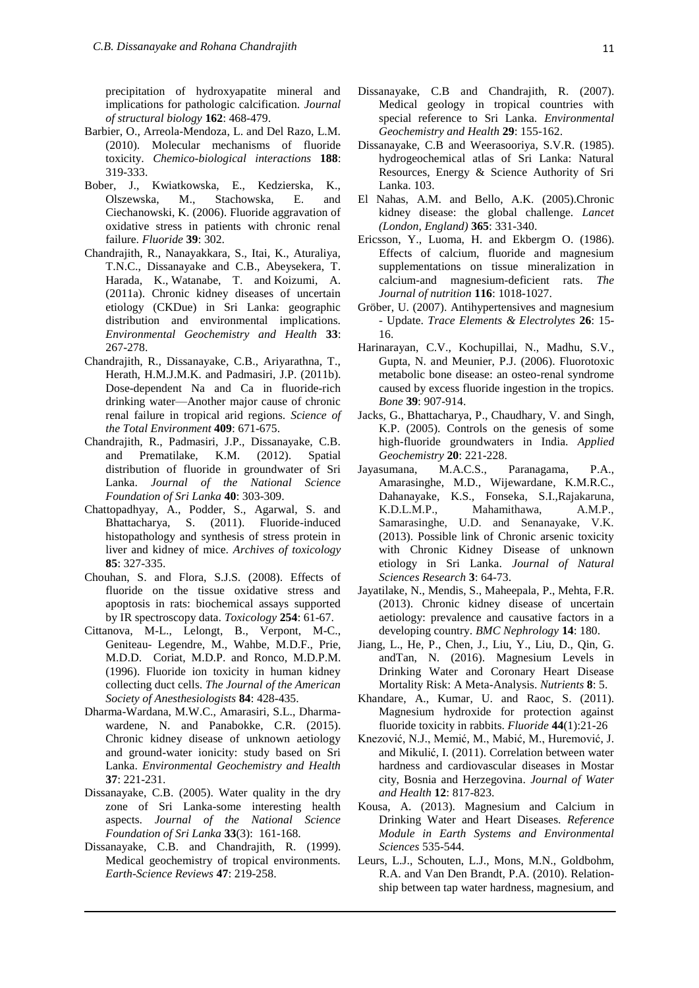precipitation of hydroxyapatite mineral and implications for pathologic calcification. *Journal of structural biology* **162**: 468-479.

- Barbier, O., Arreola-Mendoza, L. and Del Razo, L.M. (2010). Molecular mechanisms of fluoride toxicity. *Chemico-biological interactions* **188**: 319-333.
- Bober, J., Kwiatkowska, E., Kedzierska, K., Olszewska, M., Stachowska, E. and Ciechanowski, K. (2006). Fluoride aggravation of oxidative stress in patients with chronic renal failure. *Fluoride* **39**: 302.
- Chandrajith, R., Nanayakkara, S., Itai, K., Aturaliya, T.N.C., Dissanayake and C.B., Abeysekera, T. [Harada,](https://www.ncbi.nlm.nih.gov/pubmed/?term=Harada%20K%5BAuthor%5D&cauthor=true&cauthor_uid=20853020) K., [Watanabe,](https://www.ncbi.nlm.nih.gov/pubmed/?term=Watanabe%20T%5BAuthor%5D&cauthor=true&cauthor_uid=20853020) T. and [Koizumi,](https://www.ncbi.nlm.nih.gov/pubmed/?term=Koizumi%20A%5BAuthor%5D&cauthor=true&cauthor_uid=20853020) A. (2011a). Chronic kidney diseases of uncertain etiology (CKDue) in Sri Lanka: geographic distribution and environmental implications. *Environmental Geochemistry and Health* **33**: 267-278.
- Chandrajith, R., Dissanayake, C.B., Ariyarathna, T., Herath, H.M.J.M.K. and Padmasiri, J.P. (2011b). Dose-dependent Na and Ca in fluoride-rich drinking water—Another major cause of chronic renal failure in tropical arid regions. *Science of the Total Environment* **409**: 671-675.
- Chandrajith, R., Padmasiri, J.P., Dissanayake, C.B. and Prematilake, K.M. (2012). Spatial distribution of fluoride in groundwater of Sri Lanka. *Journal of the National Science Foundation of Sri Lanka* **40**: 303-309.
- Chattopadhyay, A., Podder, S., Agarwal, S. and Bhattacharya, S. (2011). Fluoride-induced histopathology and synthesis of stress protein in liver and kidney of mice. *Archives of toxicology*  **85**: 327-335.
- Chouhan, S. and Flora, S.J.S. (2008). Effects of fluoride on the tissue oxidative stress and apoptosis in rats: biochemical assays supported by IR spectroscopy data. *Toxicology* **254**: 61-67.
- <span id="page-8-0"></span>Cittanova, M-L., Lelongt, B., Verpont, M-C., Geniteau- Legendre, M., Wahbe, M.D.F., Prie, M.D.D. [Coriat, M.D.](http://anesthesiology.pubs.asahq.org/solr/searchresults.aspx?author=Pierre++Coriat)P. and [Ronco, M.D.](http://anesthesiology.pubs.asahq.org/solr/searchresults.aspx?author=Pierre+M.++Ronco)P.M. (1996). Fluoride ion toxicity in human kidney collecting duct cells. *The Journal of the American Society of Anesthesiologists* **84**: 428-435.
- Dharma-Wardana, M.W.C., Amarasiri, S.L., Dharmawardene, N. and Panabokke, C.R. (2015). Chronic kidney disease of unknown aetiology and ground-water ionicity: study based on Sri Lanka. *Environmental Geochemistry and Health* **37**: 221-231.
- Dissanayake, C.B. (2005). Water quality in the dry zone of Sri Lanka-some interesting health aspects. *Journal of the National Science Foundation of Sri Lanka* **33**(3): 161-168.
- Dissanayake, C.B. and Chandrajith, R. (1999). Medical geochemistry of tropical environments. *Earth-Science Reviews* **47**: 219-258.
- Dissanayake, C.B and Chandrajith, R. (2007). Medical geology in tropical countries with special reference to Sri Lanka. *Environmental Geochemistry and Health* **29**: 155-162.
- Dissanayake, C.B and Weerasooriya, S.V.R. (1985). hydrogeochemical atlas of Sri Lanka: Natural Resources, Energy & Science Authority of Sri Lanka. 103.
- El Nahas, A.M. and Bello, A.K. (2005).Chronic kidney disease: the global challenge. *Lancet (London, England)* **365**: 331-340.
- Ericsson, Y., Luoma, H. and Ekbergm O. (1986). Effects of calcium, fluoride and magnesium supplementations on tissue mineralization in calcium-and magnesium-deficient rats. *The Journal of nutrition* **116**: 1018-1027.
- Gröber, U. (2007). Antihypertensives and magnesium - Update. *Trace Elements & Electrolytes* **26**: 15- 16.
- Harinarayan, C.V., Kochupillai, N., Madhu, S.V., Gupta, N. and Meunier, P.J. (2006). Fluorotoxic metabolic bone disease: an osteo-renal syndrome caused by excess fluoride ingestion in the tropics. *Bone* **39**: 907-914.
- Jacks, G., Bhattacharya, P., Chaudhary, V. and Singh, K.P. (2005). Controls on the genesis of some high-fluoride groundwaters in India. *Applied Geochemistry* **20**: 221-228.
- Jayasumana, M.A.C.S., Paranagama, P.A., Amarasinghe, M.D., Wijewardane, K.M.R.C., Dahanayake, K.S., Fonseka, S.I.,Rajakaruna, K.D.L.M.P., Mahamithawa, A.M.P., Samarasinghe, U.D. and Senanayake, V.K. (2013). Possible link of Chronic arsenic toxicity with Chronic Kidney Disease of unknown etiology in Sri Lanka. *Journal of Natural Sciences Research* **3**: 64-73.
- Jayatilake, N., Mendis, S., Maheepala, P., Mehta, F.R. (2013). Chronic kidney disease of uncertain aetiology: prevalence and causative factors in a developing country. *BMC Nephrology* **14**: 180.
- Jiang, L., He, P., Chen, J., Liu, Y., Liu, D., Qin, G. andTan, N. (2016). Magnesium Levels in Drinking Water and Coronary Heart Disease Mortality Risk: A Meta-Analysis. *Nutrients* **8**: 5.
- Khandare, A., Kumar, U. and Raoc, S. (2011). Magnesium hydroxide for protection against fluoride toxicity in rabbits. *Fluoride* **44**(1):21-26
- Knezović, N.J., Memić, M., Mabić, M., Huremović, J. and Mikulić, I. (2011). Correlation between water hardness and cardiovascular diseases in Mostar city, Bosnia and Herzegovina. *Journal of Water and Health* **12**: 817-823.
- Kousa, A. (2013). Magnesium and Calcium in Drinking Water and Heart Diseases. *Reference Module in Earth Systems and Environmental Sciences* 535-544.
- Leurs, L.J., Schouten, L.J., Mons, M.N., Goldbohm, R.A. and Van Den Brandt, P.A. (2010). Relationship between tap water hardness, magnesium, and